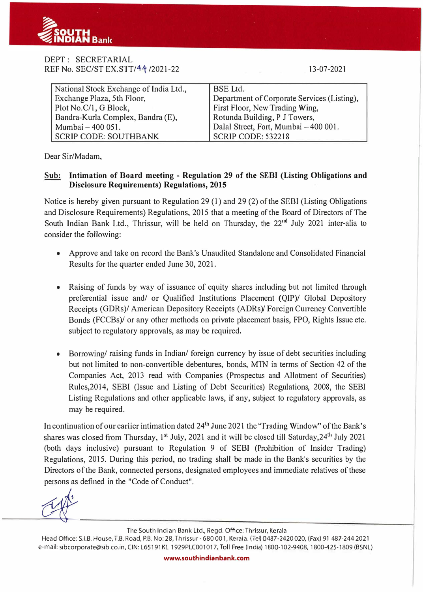

## DEPT : SECRETARIAL REF No. SEC/ST EX.STT/44/2021-22

13-07-2021

| National Stock Exchange of India Ltd., | <b>BSE</b> Ltd.                             |
|----------------------------------------|---------------------------------------------|
| Exchange Plaza, 5th Floor,             | Department of Corporate Services (Listing), |
| Plot No.C/1, G Block,                  | First Floor, New Trading Wing,              |
| Bandra-Kurla Complex, Bandra (E),      | Rotunda Building, P J Towers,               |
| Mumbai - 400 051.                      | Dalal Street, Fort, Mumbai - 400 001.       |
| <b>SCRIP CODE: SOUTHBANK</b>           | SCRIP CODE: 532218                          |

Dear Sir/Madam,

## **Sub: Intimation of Board meeting - Regulation 29 of the SEBI (Listing Obligations and Disclosure Requirements) Regulations, 2015**

Notice is hereby given pursuant to Regulation 29 (1) and 29 (2) of the SEBI (Listing Obligations and Disclosure Requirements) Regulations, 2015 that a meeting of the Board of Directors of The South Indian Bank Ltd., Thrissur, will be held on Thursday, the 22<sup>nd</sup> July 2021 inter-alia to consider the following:

- Approve and take on record the Bank's Unaudited Standalone and Consolidated Financial Results for the quarter ended June 30, 2021.
- Raising of funds by way of issuance of equity shares including but not limited through preferential issue and/ or Qualified Institutions Placement (QIP)/ Global Depository Receipts (GDRs)/ American Depository Receipts (ADRs)/ Foreign Currency Convertible Bonds (FCCBs)/ or any other methods on private placement basis, FPO, Rights Issue etc. subject to regulatory approvals, as may be required.
- Borrowing/ raising funds in Indian/ foreign currency by issue of debt securities including but not limited to non-convertible debentures, bonds, M1N in terms of Section 42 of the Companies Act, 2013 read with Companies (Prospectus and Allotment of Securities) Rules,2014, SEBI (Issue and Listing of Debt Securities) Regulations, 2008, the SEBI Listing Regulations and other applicable laws, if any, subject to regulatory approvals, as may be required.

In continuation of our earlier intimation dated 24<sup>th</sup> June 2021 the "Trading Window" of the Bank's shares was closed from Thursday, 1<sup>st</sup> July, 2021 and it will be closed till Saturday, 24<sup>th</sup> July 2021 (both days inclusive) pursuant to Regulation 9 of SEBI (Prohibition of Insider Trading) Regulations, 2015. During this period, no trading shall be made in the Bank's securities by the Directors of the Bank, connected persons, designated employees and immediate relatives of these persons as defined in the "Code of Conduct".

 $\alpha$ 

The South Indian Bank Ltd., Regd. Office: Thrissur, Kerala

Head Office: S.I.B. House, T.B. Road, P.B. No: 28, Thrissur - 680 001, Kerala. (Tel) 0487-2420 020, (Fax) 91 487-244 2021 e-mail: sibcorporate@sib.co.in, CIN: L65191 KL 1929PLC001017, Toll Free (India) 1800-102-9408, 1800-425-1809 (BSNL)